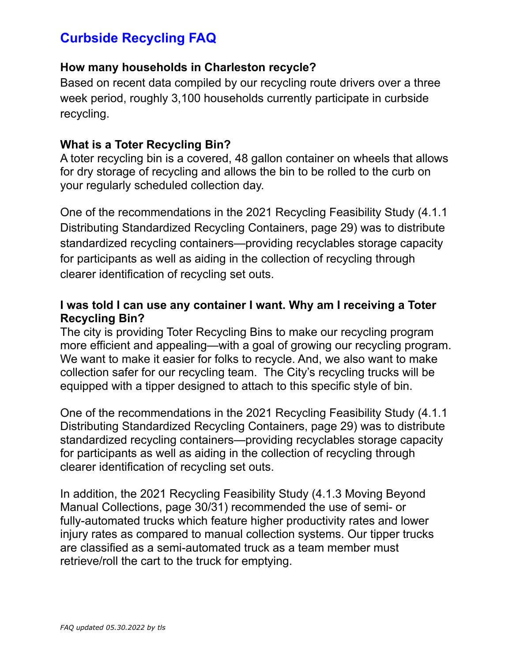# **How many households in Charleston recycle?**

Based on recent data compiled by our recycling route drivers over a three week period, roughly 3,100 households currently participate in curbside recycling.

### **What is a Toter Recycling Bin?**

A toter recycling bin is a covered, 48 gallon container on wheels that allows for dry storage of recycling and allows the bin to be rolled to the curb on your regularly scheduled collection day.

One of the recommendations in the 2021 Recycling Feasibility Study (4.1.1 Distributing Standardized Recycling Containers, page 29) was to distribute standardized recycling containers—providing recyclables storage capacity for participants as well as aiding in the collection of recycling through clearer identification of recycling set outs.

# **I was told I can use any container I want. Why am I receiving a Toter Recycling Bin?**

The city is providing Toter Recycling Bins to make our recycling program more efficient and appealing—with a goal of growing our recycling program. We want to make it easier for folks to recycle. And, we also want to make collection safer for our recycling team. The City's recycling trucks will be equipped with a tipper designed to attach to this specific style of bin.

One of the recommendations in the 2021 Recycling Feasibility Study (4.1.1 Distributing Standardized Recycling Containers, page 29) was to distribute standardized recycling containers—providing recyclables storage capacity for participants as well as aiding in the collection of recycling through clearer identification of recycling set outs.

In addition, the 2021 Recycling Feasibility Study (4.1.3 Moving Beyond Manual Collections, page 30/31) recommended the use of semi- or fully-automated trucks which feature higher productivity rates and lower injury rates as compared to manual collection systems. Our tipper trucks are classified as a semi-automated truck as a team member must retrieve/roll the cart to the truck for emptying.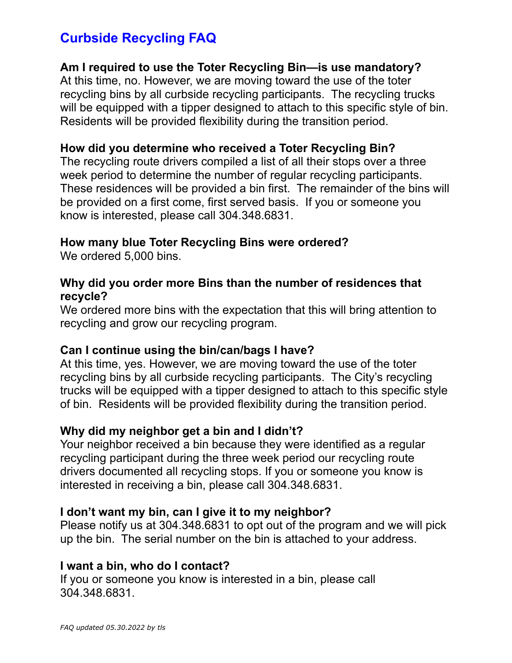# **Am I required to use the Toter Recycling Bin—is use mandatory?**

At this time, no. However, we are moving toward the use of the toter recycling bins by all curbside recycling participants. The recycling trucks will be equipped with a tipper designed to attach to this specific style of bin. Residents will be provided flexibility during the transition period.

# **How did you determine who received a Toter Recycling Bin?**

The recycling route drivers compiled a list of all their stops over a three week period to determine the number of regular recycling participants. These residences will be provided a bin first. The remainder of the bins will be provided on a first come, first served basis. If you or someone you know is interested, please call 304.348.6831.

# **How many blue Toter Recycling Bins were ordered?**

We ordered 5,000 bins.

### **Why did you order more Bins than the number of residences that recycle?**

We ordered more bins with the expectation that this will bring attention to recycling and grow our recycling program.

#### **Can I continue using the bin/can/bags I have?**

At this time, yes. However, we are moving toward the use of the toter recycling bins by all curbside recycling participants. The City's recycling trucks will be equipped with a tipper designed to attach to this specific style of bin. Residents will be provided flexibility during the transition period.

# **Why did my neighbor get a bin and I didn't?**

Your neighbor received a bin because they were identified as a regular recycling participant during the three week period our recycling route drivers documented all recycling stops. If you or someone you know is interested in receiving a bin, please call 304.348.6831.

#### **I don't want my bin, can I give it to my neighbor?**

Please notify us at 304.348.6831 to opt out of the program and we will pick up the bin. The serial number on the bin is attached to your address.

#### **I want a bin, who do I contact?**

If you or someone you know is interested in a bin, please call 304.348.6831.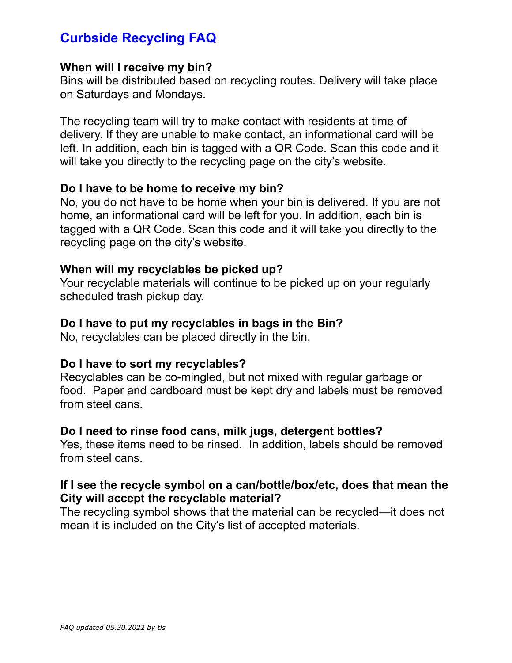#### **When will I receive my bin?**

Bins will be distributed based on recycling routes. Delivery will take place on Saturdays and Mondays.

The recycling team will try to make contact with residents at time of delivery. If they are unable to make contact, an informational card will be left. In addition, each bin is tagged with a QR Code. Scan this code and it will take you directly to the recycling page on the city's website.

#### **Do I have to be home to receive my bin?**

No, you do not have to be home when your bin is delivered. If you are not home, an informational card will be left for you. In addition, each bin is tagged with a QR Code. Scan this code and it will take you directly to the recycling page on the city's website.

#### **When will my recyclables be picked up?**

Your recyclable materials will continue to be picked up on your regularly scheduled trash pickup day.

#### **Do I have to put my recyclables in bags in the Bin?**

No, recyclables can be placed directly in the bin.

#### **Do I have to sort my recyclables?**

Recyclables can be co-mingled, but not mixed with regular garbage or food. Paper and cardboard must be kept dry and labels must be removed from steel cans.

#### **Do I need to rinse food cans, milk jugs, detergent bottles?**

Yes, these items need to be rinsed. In addition, labels should be removed from steel cans.

#### **If I see the recycle symbol on a can/bottle/box/etc, does that mean the City will accept the recyclable material?**

The recycling symbol shows that the material can be recycled—it does not mean it is included on the City's list of accepted materials.